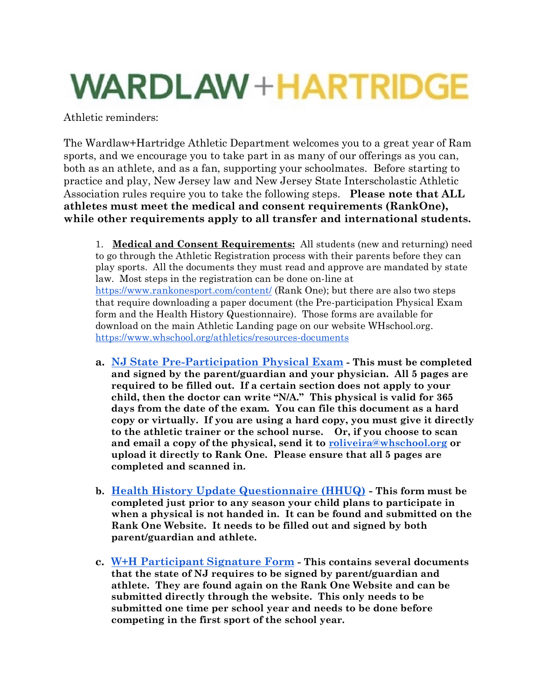## **WARDLAW+HARTRIDGE**

Athletic reminders:

The Wardlaw+Hartridge Athletic Department welcomes you to a great year of Ram sports, and we encourage you to take part in as many of our offerings as you can, both as an athlete, and as a fan, supporting your schoolmates. Before starting to practice and play, New Jersey law and New Jersey State Interscholastic Athletic Association rules require you to take the following steps. **Please note that ALL athletes must meet the medical and consent requirements (RankOne), while other requirements apply to all transfer and international students.**

1. **Medical and Consent Requirements:** All students (new and returning) need to go through the Athletic Registration process with their parents before they can play sports. All the documents they must read and approve are mandated by state law. Most steps in the registration can be done on-line at <https://www.rankonesport.com/content/> (Rank One); but there are also two steps that require downloading a paper document (the Pre-participation Physical Exam form and the Health History Questionnaire). Those forms are available for download on the main Athletic Landing page on our website WHschool.org. <https://www.whschool.org/athletics/resources-documents>

- **a. [NJ State Pre-Participation Physical Exam](https://drive.google.com/file/d/14sCEdGvQ4yaLOhLHWM1ispNkGMUnnKqW/view?usp=sharing) - This must be completed and signed by the parent/guardian and your physician. All 5 pages are required to be filled out. If a certain section does not apply to your child, then the doctor can write "N/A." This physical is valid for 365 days from the date of the exam. You can file this document as a hard copy or virtually. If you are using a hard copy, you must give it directly to the athletic trainer or the school nurse. Or, if you choose to scan and email a copy of the physical, send it to [roliveira@whschool.org](mailto:roliveira@whschool.org) or upload it directly to Rank One. Please ensure that all 5 pages are completed and scanned in.**
- **b. [Health History Update Questionnaire \(HHUQ\)](https://www.rankonesport.com/content/) - This form must be completed just prior to any season your child plans to participate in when a physical is not handed in. It can be found and submitted on the Rank One Website. It needs to be filled out and signed by both parent/guardian and athlete.**
- **c. [W+H Participant Signature Form](https://www.rankonesport.com/content/) - This contains several documents that the state of NJ requires to be signed by parent/guardian and athlete. They are found again on the Rank One Website and can be submitted directly through the website. This only needs to be submitted one time per school year and needs to be done before competing in the first sport of the school year.**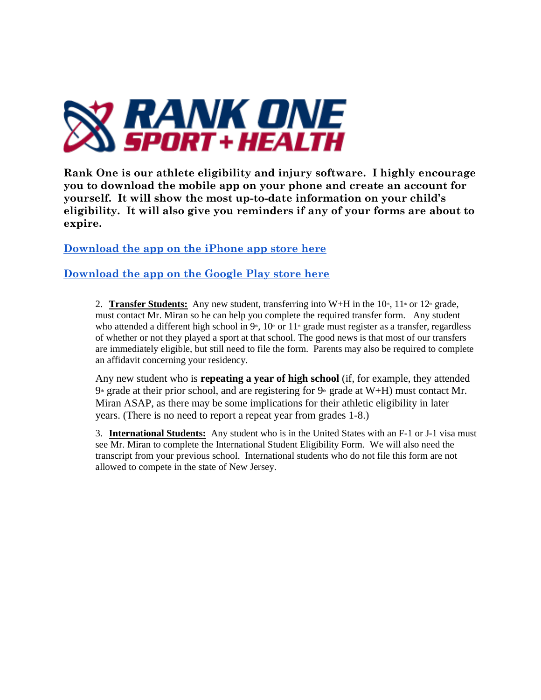

**Rank One is our athlete eligibility and injury software. I highly encourage you to download the mobile app on your phone and create an account for yourself. It will show the most up-to-date information on your child's eligibility. It will also give you reminders if any of your forms are about to expire.**

**[Download the app on the iPhone app store here](https://apps.apple.com/us/app/rank-one-sport-student-athlete/id1033720488)**

**[Download the app on the Google Play store here](https://play.google.com/store/apps/details?id=com.thebhwgroup.rankonesport&hl=en)**

2. **Transfer Students:** Any new student, transferring into W+H in the  $10^{\circ}$ ,  $11^{\circ}$  or  $12^{\circ}$  grade, must contact Mr. Miran so he can help you complete the required transfer form. Any student who attended a different high school in  $9<sup>th</sup>$ ,  $10<sup>th</sup>$  or  $11<sup>th</sup>$  grade must register as a transfer, regardless of whether or not they played a sport at that school. The good news is that most of our transfers are immediately eligible, but still need to file the form. Parents may also be required to complete an affidavit concerning your residency.

Any new student who is **repeating a year of high school** (if, for example, they attended  $9<sup>th</sup>$  grade at their prior school, and are registering for  $9<sup>th</sup>$  grade at W+H) must contact Mr. Miran ASAP, as there may be some implications for their athletic eligibility in later years. (There is no need to report a repeat year from grades 1-8.)

3. **International Students:** Any student who is in the United States with an F-1 or J-1 visa must see Mr. Miran to complete the International Student Eligibility Form. We will also need the transcript from your previous school. International students who do not file this form are not allowed to compete in the state of New Jersey.